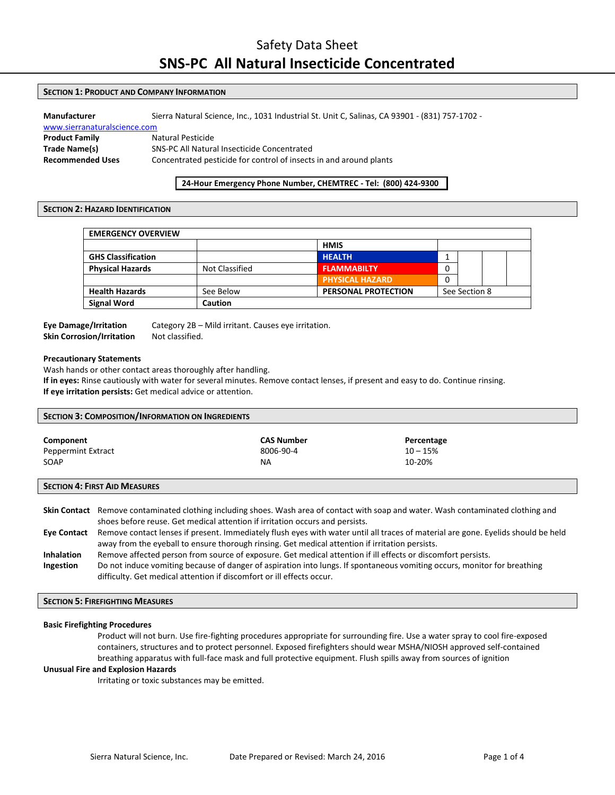## Safety Data Sheet **SNS-PC All Natural Insecticide Concentrated**

## **SECTION 1: PRODUCT AND COMPANY INFORMATION**

| Manufacturer                 | Sierra Natural Science, Inc., 1031 Industrial St. Unit C, Salinas, CA 93901 - (831) 757-1702 - |  |  |
|------------------------------|------------------------------------------------------------------------------------------------|--|--|
| www.sierranaturalscience.com |                                                                                                |  |  |
| <b>Product Family</b>        | Natural Pesticide                                                                              |  |  |
| Trade Name(s)                | SNS-PC All Natural Insecticide Concentrated                                                    |  |  |
| <b>Recommended Uses</b>      | Concentrated pesticide for control of insects in and around plants                             |  |  |

## **24-Hour Emergency Phone Number, CHEMTREC - Tel: (800) 424-9300**

## **SECTION 2: HAZARD IDENTIFICATION**

| <b>EMERGENCY OVERVIEW</b> |                |                            |   |               |  |
|---------------------------|----------------|----------------------------|---|---------------|--|
|                           |                | <b>HMIS</b>                |   |               |  |
| <b>GHS Classification</b> |                | <b>HEALTH</b>              |   |               |  |
| <b>Physical Hazards</b>   | Not Classified | <b>FLAMMABILTY</b>         | 0 |               |  |
|                           |                | <b>PHYSICAL HAZARD</b>     |   |               |  |
| <b>Health Hazards</b>     | See Below      | <b>PERSONAL PROTECTION</b> |   | See Section 8 |  |
| <b>Signal Word</b>        | Caution        |                            |   |               |  |

# **Skin Corrosion/Irritation** Not classified.

**Eye Damage/Irritation** Category 2B – Mild irritant. Causes eye irritation.

## **Precautionary Statements**

Wash hands or other contact areas thoroughly after handling.

**If in eyes:** Rinse cautiously with water for several minutes. Remove contact lenses, if present and easy to do. Continue rinsing. **If eye irritation persists:** Get medical advice or attention.

| <b>SECTION 3: COMPOSITION/INFORMATION ON INGREDIENTS</b> |                   |            |  |
|----------------------------------------------------------|-------------------|------------|--|
| Component                                                | <b>CAS Number</b> | Percentage |  |
| Peppermint Extract                                       | 8006-90-4         | $10 - 15%$ |  |
| SOAP                                                     | NA.               | 10-20%     |  |
| <b>SECTION 4: FIRST AID MEASURES</b>                     |                   |            |  |

|                    | Skin Contact Remove contaminated clothing including shoes. Wash area of contact with soap and water. Wash contaminated clothing and |
|--------------------|-------------------------------------------------------------------------------------------------------------------------------------|
|                    | shoes before reuse. Get medical attention if irritation occurs and persists.                                                        |
| <b>Eye Contact</b> | Remove contact lenses if present. Immediately flush eyes with water until all traces of material are gone. Eyelids should be held   |
|                    | away from the eyeball to ensure thorough rinsing. Get medical attention if irritation persists.                                     |
| <b>Inhalation</b>  | Remove affected person from source of exposure. Get medical attention if ill effects or discomfort persists.                        |
| Ingestion          | Do not induce vomiting because of danger of aspiration into lungs. If spontaneous vomiting occurs, monitor for breathing            |
|                    | difficulty. Get medical attention if discomfort or ill effects occur.                                                               |

## **SECTION 5: FIREFIGHTING MEASURES**

#### **Basic Firefighting Procedures**

Product will not burn. Use fire-fighting procedures appropriate for surrounding fire. Use a water spray to cool fire-exposed containers, structures and to protect personnel. Exposed firefighters should wear MSHA/NIOSH approved self-contained breathing apparatus with full-face mask and full protective equipment. Flush spills away from sources of ignition

#### **Unusual Fire and Explosion Hazards**

Irritating or toxic substances may be emitted.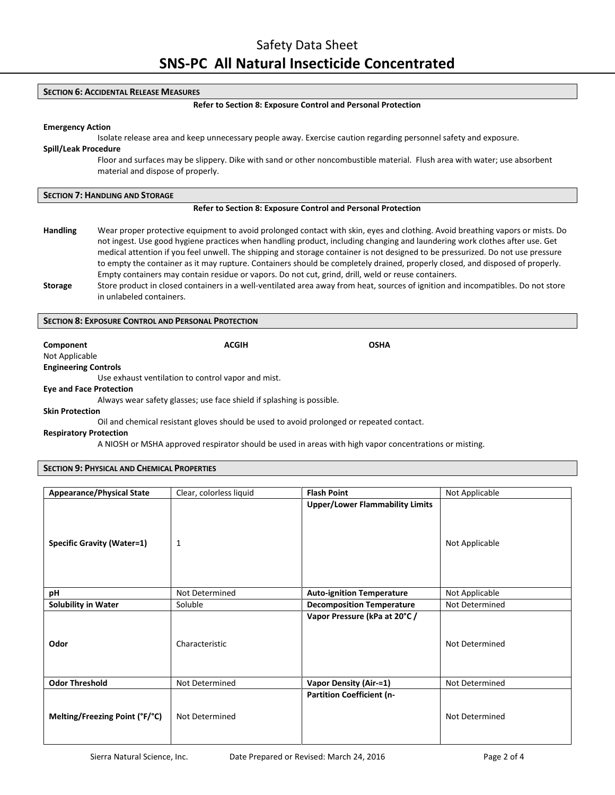## **SECTION 6: ACCIDENTAL RELEASE MEASURES**

#### **Refer to Section 8: Exposure Control and Personal Protection**

#### **Emergency Action**

Isolate release area and keep unnecessary people away. Exercise caution regarding personnel safety and exposure.

## **Spill/Leak Procedure**

Floor and surfaces may be slippery. Dike with sand or other noncombustible material. Flush area with water; use absorbent material and dispose of properly.

#### **Refer to Section 8: Exposure Control and Personal Protection**

- **Handling** Wear proper protective equipment to avoid prolonged contact with skin, eyes and clothing. Avoid breathing vapors or mists. Do not ingest. Use good hygiene practices when handling product, including changing and laundering work clothes after use. Get medical attention if you feel unwell. The shipping and storage container is not designed to be pressurized. Do not use pressure to empty the container as it may rupture. Containers should be completely drained, properly closed, and disposed of properly. Empty containers may contain residue or vapors. Do not cut, grind, drill, weld or reuse containers.
- **Storage** Store product in closed containers in a well-ventilated area away from heat, sources of ignition and incompatibles. Do not store in unlabeled containers.

## **SECTION 8: EXPOSURE CONTROL AND PERSONAL PROTECTION**

**Component Component ACGIH COMPONENT ACGIH** 

Not Applicable **Engineering Controls**

Use exhaust ventilation to control vapor and mist.

#### **Eye and Face Protection**

Always wear safety glasses; use face shield if splashing is possible.

#### **Skin Protection**

Oil and chemical resistant gloves should be used to avoid prolonged or repeated contact.

#### **Respiratory Protection**

A NIOSH or MSHA approved respirator should be used in areas with high vapor concentrations or misting.

## **SECTION 9: PHYSICAL AND CHEMICAL PROPERTIES**

| <b>Appearance/Physical State</b>  | Clear, colorless liquid | <b>Flash Point</b>                     | Not Applicable |  |
|-----------------------------------|-------------------------|----------------------------------------|----------------|--|
| <b>Specific Gravity (Water=1)</b> | 1                       | <b>Upper/Lower Flammability Limits</b> | Not Applicable |  |
| рH                                | Not Determined          | <b>Auto-ignition Temperature</b>       | Not Applicable |  |
| <b>Solubility in Water</b>        | Soluble                 | <b>Decomposition Temperature</b>       | Not Determined |  |
| Odor                              | Characteristic          | Vapor Pressure (kPa at 20°C /          | Not Determined |  |
| <b>Odor Threshold</b>             | Not Determined          | <b>Vapor Density (Air-=1)</b>          | Not Determined |  |
| Melting/Freezing Point (°F/°C)    | Not Determined          | <b>Partition Coefficient (n-</b>       | Not Determined |  |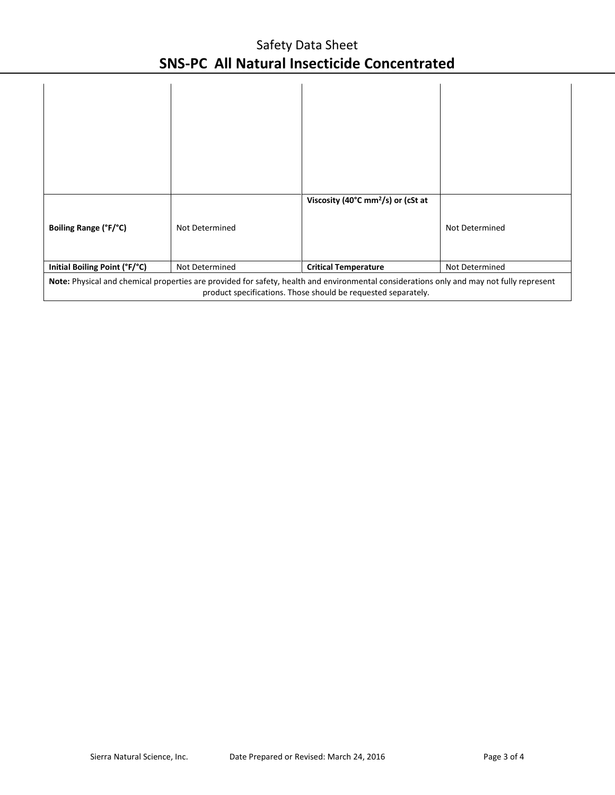## Safety Data Sheet **SNS-PC All Natural Insecticide Concentrated**

| Boiling Range (°F/°C)                                                                                                                                                                                     | Not Determined | Viscosity (40°C mm <sup>2</sup> /s) or (cSt at | Not Determined |
|-----------------------------------------------------------------------------------------------------------------------------------------------------------------------------------------------------------|----------------|------------------------------------------------|----------------|
| Initial Boiling Point (°F/°C)                                                                                                                                                                             | Not Determined | <b>Critical Temperature</b>                    | Not Determined |
| Note: Physical and chemical properties are provided for safety, health and environmental considerations only and may not fully represent<br>product specifications. Those should be requested separately. |                |                                                |                |